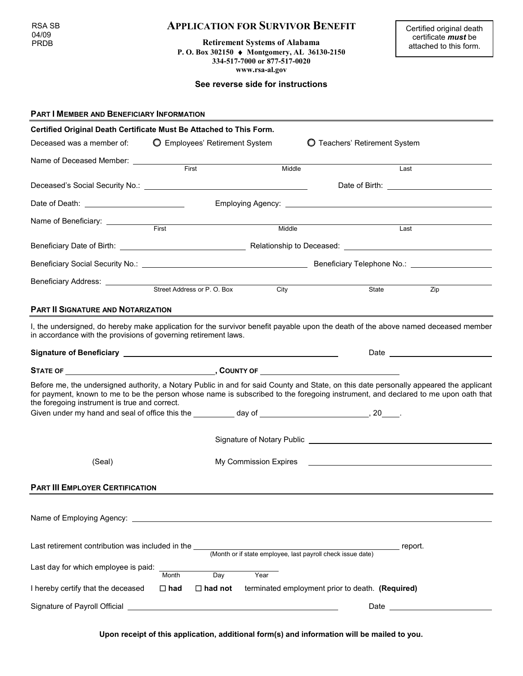| <b>RSA SB</b>                                                                                                                                                                                                                                                                                                                | APPLICATION FOR SURVIVOR BENEFIT                                                                                                                                                                                               |        |                                                      | Certified original death                                                                                                                                                                                                             |
|------------------------------------------------------------------------------------------------------------------------------------------------------------------------------------------------------------------------------------------------------------------------------------------------------------------------------|--------------------------------------------------------------------------------------------------------------------------------------------------------------------------------------------------------------------------------|--------|------------------------------------------------------|--------------------------------------------------------------------------------------------------------------------------------------------------------------------------------------------------------------------------------------|
| 04/09<br><b>PRDB</b>                                                                                                                                                                                                                                                                                                         | <b>Retirement Systems of Alabama</b><br>P. O. Box 302150 ♦ Montgomery, AL 36130-2150<br>334-517-7000 or 877-517-0020                                                                                                           |        | certificate <i>must</i> be<br>attached to this form. |                                                                                                                                                                                                                                      |
| www.rsa-al.gov                                                                                                                                                                                                                                                                                                               |                                                                                                                                                                                                                                |        |                                                      |                                                                                                                                                                                                                                      |
| See reverse side for instructions                                                                                                                                                                                                                                                                                            |                                                                                                                                                                                                                                |        |                                                      |                                                                                                                                                                                                                                      |
|                                                                                                                                                                                                                                                                                                                              |                                                                                                                                                                                                                                |        |                                                      |                                                                                                                                                                                                                                      |
| <b>PART I MEMBER AND BENEFICIARY INFORMATION</b>                                                                                                                                                                                                                                                                             |                                                                                                                                                                                                                                |        |                                                      |                                                                                                                                                                                                                                      |
| Certified Original Death Certificate Must Be Attached to This Form.                                                                                                                                                                                                                                                          |                                                                                                                                                                                                                                |        |                                                      |                                                                                                                                                                                                                                      |
| Deceased was a member of:                                                                                                                                                                                                                                                                                                    | <b>O</b> Employees' Retirement System                                                                                                                                                                                          |        | O Teachers' Retirement System                        |                                                                                                                                                                                                                                      |
|                                                                                                                                                                                                                                                                                                                              |                                                                                                                                                                                                                                | Middle |                                                      | Last                                                                                                                                                                                                                                 |
|                                                                                                                                                                                                                                                                                                                              |                                                                                                                                                                                                                                |        |                                                      |                                                                                                                                                                                                                                      |
|                                                                                                                                                                                                                                                                                                                              | Deceased's Social Security No.: \\command{\bmg \\command{\bmg \\command{\bmg \\command{\bmg \\command{\bmg \\command{\bmg \\command{\bmg \\command{\bmg \\command{\bmg \\command{\bmg \\command{\bmg \\command{\bmg \\command{ |        |                                                      | Date of Birth: <u>contract and the set of Birth:</u>                                                                                                                                                                                 |
|                                                                                                                                                                                                                                                                                                                              |                                                                                                                                                                                                                                |        |                                                      |                                                                                                                                                                                                                                      |
|                                                                                                                                                                                                                                                                                                                              |                                                                                                                                                                                                                                | Middle |                                                      | Last                                                                                                                                                                                                                                 |
|                                                                                                                                                                                                                                                                                                                              |                                                                                                                                                                                                                                |        |                                                      |                                                                                                                                                                                                                                      |
|                                                                                                                                                                                                                                                                                                                              |                                                                                                                                                                                                                                |        |                                                      |                                                                                                                                                                                                                                      |
|                                                                                                                                                                                                                                                                                                                              |                                                                                                                                                                                                                                |        |                                                      |                                                                                                                                                                                                                                      |
| Beneficiary Address: __________                                                                                                                                                                                                                                                                                              | Street Address or P.O. Box                                                                                                                                                                                                     | City   | State                                                | Zip                                                                                                                                                                                                                                  |
|                                                                                                                                                                                                                                                                                                                              |                                                                                                                                                                                                                                |        |                                                      |                                                                                                                                                                                                                                      |
| <b>PART II SIGNATURE AND NOTARIZATION</b>                                                                                                                                                                                                                                                                                    |                                                                                                                                                                                                                                |        |                                                      |                                                                                                                                                                                                                                      |
| I, the undersigned, do hereby make application for the survivor benefit payable upon the death of the above named deceased member<br>in accordance with the provisions of governing retirement laws.                                                                                                                         |                                                                                                                                                                                                                                |        |                                                      |                                                                                                                                                                                                                                      |
|                                                                                                                                                                                                                                                                                                                              |                                                                                                                                                                                                                                |        |                                                      |                                                                                                                                                                                                                                      |
|                                                                                                                                                                                                                                                                                                                              |                                                                                                                                                                                                                                |        |                                                      |                                                                                                                                                                                                                                      |
| Before me, the undersigned authority, a Notary Public in and for said County and State, on this date personally appeared the applicant<br>for payment, known to me to be the person whose name is subscribed to the foregoing instrument, and declared to me upon oath that<br>the foregoing instrument is true and correct. |                                                                                                                                                                                                                                |        |                                                      |                                                                                                                                                                                                                                      |
|                                                                                                                                                                                                                                                                                                                              |                                                                                                                                                                                                                                |        |                                                      |                                                                                                                                                                                                                                      |
|                                                                                                                                                                                                                                                                                                                              |                                                                                                                                                                                                                                |        |                                                      |                                                                                                                                                                                                                                      |
|                                                                                                                                                                                                                                                                                                                              |                                                                                                                                                                                                                                |        |                                                      | Signature of Notary Public <u>example and the set of the set of the set of the set of the set of the set of the set of the set of the set of the set of the set of the set of the set of the set of the set of the set of the se</u> |
| (Seal)                                                                                                                                                                                                                                                                                                                       | My Commission Expires                                                                                                                                                                                                          |        |                                                      | <u> Alexandro de la contrada de la contrada de la contrada de la contrada de la contrada de la contrada de la co</u>                                                                                                                 |
| <b>PART III EMPLOYER CERTIFICATION</b>                                                                                                                                                                                                                                                                                       |                                                                                                                                                                                                                                |        |                                                      |                                                                                                                                                                                                                                      |
|                                                                                                                                                                                                                                                                                                                              |                                                                                                                                                                                                                                |        |                                                      |                                                                                                                                                                                                                                      |
|                                                                                                                                                                                                                                                                                                                              |                                                                                                                                                                                                                                |        |                                                      |                                                                                                                                                                                                                                      |
|                                                                                                                                                                                                                                                                                                                              |                                                                                                                                                                                                                                |        |                                                      |                                                                                                                                                                                                                                      |
|                                                                                                                                                                                                                                                                                                                              |                                                                                                                                                                                                                                |        |                                                      |                                                                                                                                                                                                                                      |
| Last day for which employee is paid:                                                                                                                                                                                                                                                                                         | Day<br>Month                                                                                                                                                                                                                   | Year   |                                                      |                                                                                                                                                                                                                                      |
| I hereby certify that the deceased                                                                                                                                                                                                                                                                                           | $\square$ had<br>$\Box$ had not                                                                                                                                                                                                |        | terminated employment prior to death. (Required)     |                                                                                                                                                                                                                                      |
|                                                                                                                                                                                                                                                                                                                              |                                                                                                                                                                                                                                |        |                                                      |                                                                                                                                                                                                                                      |
|                                                                                                                                                                                                                                                                                                                              |                                                                                                                                                                                                                                |        |                                                      |                                                                                                                                                                                                                                      |

**APPLICATION FOR SURVIVOR BENEFIT**

RSA SB

**Upon receipt of this application, additional form(s) and information will be mailed to you.**